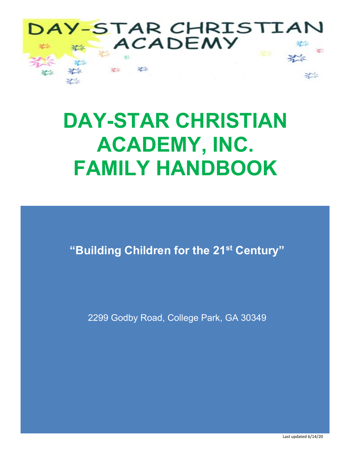

# **DAY-STAR CHRISTIAN ACADEMY, INC. FAMILY HANDBOOK**

**"Building Children for the 21st Century"**

2299 Godby Road, College Park, GA 30349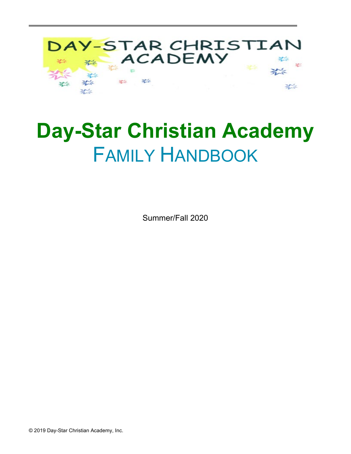

# **Day-Star Christian Academy** FAMILY HANDBOOK

Summer/Fall 2020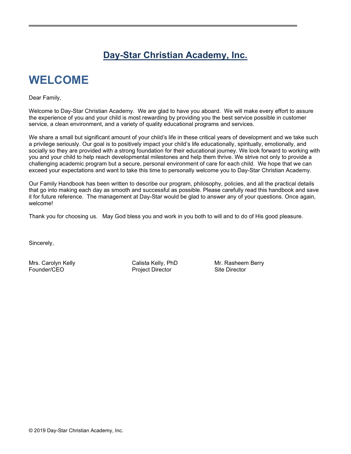## **Day-Star Christian Academy, Inc.**

# **WELCOME**

Dear Family,

Welcome to Day-Star Christian Academy. We are glad to have you aboard. We will make every effort to assure the experience of you and your child is most rewarding by providing you the best service possible in customer service, a clean environment, and a variety of quality educational programs and services.

We share a small but significant amount of your child's life in these critical years of development and we take such a privilege seriously. Our goal is to positively impact your child's life educationally, spiritually, emotionally, and socially so they are provided with a strong foundation for their educational journey. We look forward to working with you and your child to help reach developmental milestones and help them thrive. We strive not only to provide a challenging academic program but a secure, personal environment of care for each child. We hope that we can exceed your expectations and want to take this time to personally welcome you to Day-Star Christian Academy.

Our Family Handbook has been written to describe our program, philosophy, policies, and all the practical details that go into making each day as smooth and successful as possible. Please carefully read this handbook and save it for future reference. The management at Day-Star would be glad to answer any of your questions. Once again, welcome!

Thank you for choosing us. May God bless you and work in you both to will and to do of His good pleasure.

Sincerely,

Project Director Site Director

Mrs. Carolyn Kelly Calista Kelly, PhD Mr. Rasheem Berry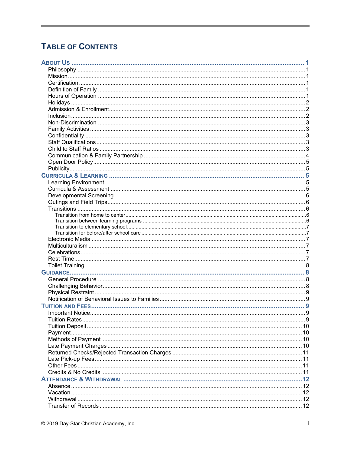## **TABLE OF CONTENTS**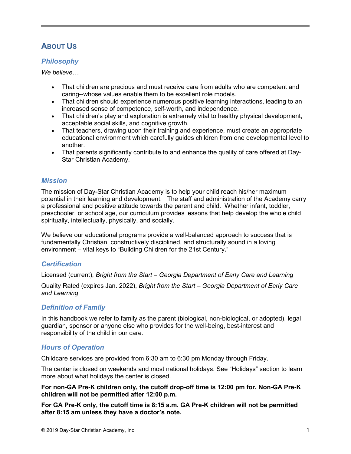## **ABOUT US**

## *Philosophy*

*We believe…* 

- That children are precious and must receive care from adults who are competent and caring--whose values enable them to be excellent role models.
- That children should experience numerous positive learning interactions, leading to an increased sense of competence, self-worth, and independence.
- That children's play and exploration is extremely vital to healthy physical development, acceptable social skills, and cognitive growth.
- That teachers, drawing upon their training and experience, must create an appropriate educational environment which carefully guides children from one developmental level to another.
- That parents significantly contribute to and enhance the quality of care offered at Day-Star Christian Academy.

## *Mission*

The mission of Day-Star Christian Academy is to help your child reach his/her maximum potential in their learning and development. The staff and administration of the Academy carry a professional and positive attitude towards the parent and child. Whether infant, toddler, preschooler, or school age, our curriculum provides lessons that help develop the whole child spiritually, intellectually, physically, and socially.

We believe our educational programs provide a well-balanced approach to success that is fundamentally Christian, constructively disciplined, and structurally sound in a loving environment – vital keys to "Building Children for the 21st Century**.**"

## *Certification*

Licensed (current), *Bright from the Start – Georgia Department of Early Care and Learning*

Quality Rated (expires Jan. 2022), *Bright from the Start – Georgia Department of Early Care and Learning*

## *Definition of Family*

In this handbook we refer to family as the parent (biological, non-biological, or adopted), legal guardian, sponsor or anyone else who provides for the well-being, best-interest and responsibility of the child in our care.

## *Hours of Operation*

Childcare services are provided from 6:30 am to 6:30 pm Monday through Friday.

The center is closed on weekends and most national holidays. See "Holidays" section to learn more about what holidays the center is closed.

**For non-GA Pre-K children only, the cutoff drop-off time is 12:00 pm for. Non-GA Pre-K children will not be permitted after 12:00 p.m.**

**For GA Pre-K only, the cutoff time is 8:15 a.m. GA Pre-K children will not be permitted after 8:15 am unless they have a doctor's note.**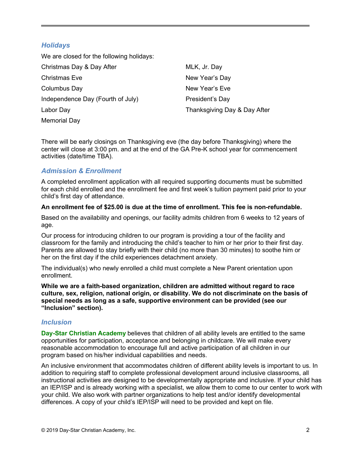## *Holidays*

We are closed for the following holidays: Christmas Day & Day After Christmas Eve Columbus Day Independence Day (Fourth of July) Labor Day Memorial Day MLK, Jr. Day New Year's Day New Year's Eve President's Day Thanksgiving Day & Day After

There will be early closings on Thanksgiving eve (the day before Thanksgiving) where the center will close at 3:00 pm. and at the end of the GA Pre-K school year for commencement activities (date/time TBA).

## *Admission & Enrollment*

A completed enrollment application with all required supporting documents must be submitted for each child enrolled and the enrollment fee and first week's tuition payment paid prior to your child's first day of attendance.

#### **An enrollment fee of \$25.00 is due at the time of enrollment. This fee is non-refundable.**

Based on the availability and openings, our facility admits children from 6 weeks to 12 years of age.

Our process for introducing children to our program is providing a tour of the facility and classroom for the family and introducing the child's teacher to him or her prior to their first day. Parents are allowed to stay briefly with their child (no more than 30 minutes) to soothe him or her on the first day if the child experiences detachment anxiety.

The individual(s) who newly enrolled a child must complete a New Parent orientation upon enrollment.

**While we are a faith-based organization, children are admitted without regard to race culture, sex, religion, national origin, or disability. We do not discriminate on the basis of special needs as long as a safe, supportive environment can be provided (see our "Inclusion" section).** 

## *Inclusion*

**Day-Star Christian Academy** believes that children of all ability levels are entitled to the same opportunities for participation, acceptance and belonging in childcare. We will make every reasonable accommodation to encourage full and active participation of all children in our program based on his/her individual capabilities and needs.

An inclusive environment that accommodates children of different ability levels is important to us. In addition to requiring staff to complete professional development around inclusive classrooms, all instructional activities are designed to be developmentally appropriate and inclusive. If your child has an IEP/ISP and is already working with a specialist, we allow them to come to our center to work with your child. We also work with partner organizations to help test and/or identify developmental differences. A copy of your child's IEP/ISP will need to be provided and kept on file.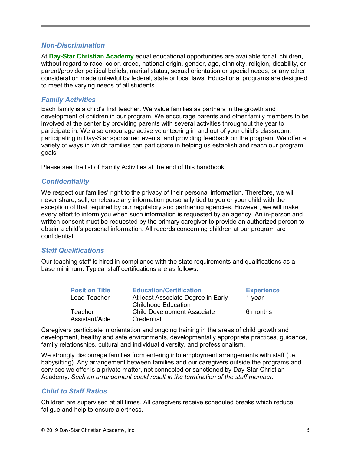#### *Non-Discrimination*

At **Day-Star Christian Academy** equal educational opportunities are available for all children, without regard to race, color, creed, national origin, gender, age, ethnicity, religion, disability, or parent/provider political beliefs, marital status, sexual orientation or special needs, or any other consideration made unlawful by federal, state or local laws. Educational programs are designed to meet the varying needs of all students.

#### *Family Activities*

Each family is a child's first teacher. We value families as partners in the growth and development of children in our program. We encourage parents and other family members to be involved at the center by providing parents with several activities throughout the year to participate in. We also encourage active volunteering in and out of your child's classroom, participating in Day-Star sponsored events, and providing feedback on the program. We offer a variety of ways in which families can participate in helping us establish and reach our program goals.

Please see the list of Family Activities at the end of this handbook.

#### *Confidentiality*

We respect our families' right to the privacy of their personal information. Therefore, we will never share, sell, or release any information personally tied to you or your child with the exception of that required by our regulatory and partnering agencies. However, we will make every effort to inform you when such information is requested by an agency. An in-person and written consent must be requested by the primary caregiver to provide an authorized person to obtain a child's personal information. All records concerning children at our program are confidential.

#### *Staff Qualifications*

Our teaching staff is hired in compliance with the state requirements and qualifications as a base minimum. Typical staff certifications are as follows:

| <b>Position Title</b> | <b>Education/Certification</b>     | <b>Experience</b> |
|-----------------------|------------------------------------|-------------------|
| Lead Teacher          | At least Associate Degree in Early | 1 year            |
|                       | <b>Childhood Education</b>         |                   |
| Teacher               | <b>Child Development Associate</b> | 6 months          |
| Assistant/Aide        | Credential                         |                   |

Caregivers participate in orientation and ongoing training in the areas of child growth and development, healthy and safe environments, developmentally appropriate practices, guidance, family relationships, cultural and individual diversity, and professionalism.

We strongly discourage families from entering into employment arrangements with staff (i.e. babysitting). Any arrangement between families and our caregivers outside the programs and services we offer is a private matter, not connected or sanctioned by Day-Star Christian Academy. *Such an arrangement could result in the termination of the staff member.*

#### *Child to Staff Ratios*

Children are supervised at all times. All caregivers receive scheduled breaks which reduce fatigue and help to ensure alertness.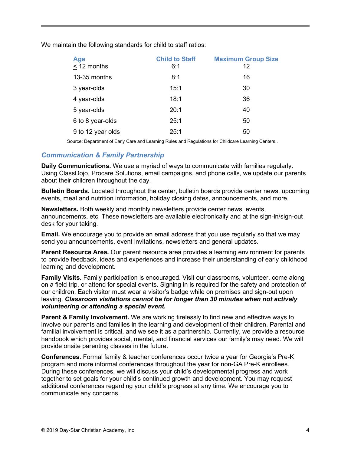| <b>Age</b><br>< 12 months | <b>Child to Staff</b><br>6:1 | <b>Maximum Group Size</b><br>12 |
|---------------------------|------------------------------|---------------------------------|
| 13-35 months              | 8:1                          | 16                              |
| 3 year-olds               | 15:1                         | 30                              |
| 4 year-olds               | 18:1                         | 36                              |
| 5 year-olds               | 20:1                         | 40                              |
| 6 to 8 year-olds          | 25:1                         | 50                              |
| 9 to 12 year olds         | 25:1                         | 50                              |

We maintain the following standards for child to staff ratios:

Source: Department of Early Care and Learning Rules and Regulations for Childcare Learning Centers..

#### *Communication & Family Partnership*

**Daily Communications.** We use a myriad of ways to communicate with families regularly. Using ClassDojo, Procare Solutions, email campaigns, and phone calls, we update our parents about their children throughout the day.

**Bulletin Boards.** Located throughout the center, bulletin boards provide center news, upcoming events, meal and nutrition information, holiday closing dates, announcements, and more.

**Newsletters.** Both weekly and monthly newsletters provide center news, events, announcements, etc. These newsletters are available electronically and at the sign-in/sign-out desk for your taking.

**Email.** We encourage you to provide an email address that you use regularly so that we may send you announcements, event invitations, newsletters and general updates.

**Parent Resource Area.** Our parent resource area provides a learning environment for parents to provide feedback, ideas and experiences and increase their understanding of early childhood learning and development.

**Family Visits.** Family participation is encouraged. Visit our classrooms, volunteer, come along on a field trip, or attend for special events. Signing in is required for the safety and protection of our children. Each visitor must wear a visitor's badge while on premises and sign-out upon leaving. *Classroom visitations cannot be for longer than 30 minutes when not actively volunteering or attending a special event.*

**Parent & Family Involvement.** We are working tirelessly to find new and effective ways to involve our parents and families in the learning and development of their children. Parental and familial involvement is critical, and we see it as a partnership. Currently, we provide a resource handbook which provides social, mental, and financial services our family's may need. We will provide onsite parenting classes in the future.

**Conferences**. Formal family & teacher conferences occur twice a year for Georgia's Pre-K program and more informal conferences throughout the year for non-GA Pre-K enrollees. During these conferences, we will discuss your child's developmental progress and work together to set goals for your child's continued growth and development. You may request additional conferences regarding your child's progress at any time. We encourage you to communicate any concerns.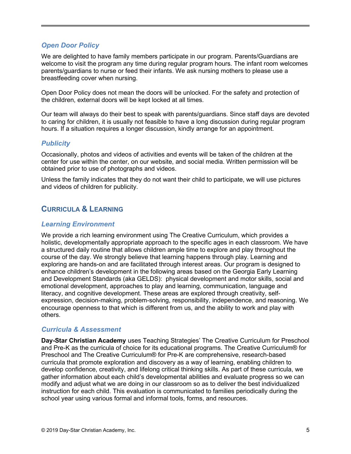## *Open Door Policy*

We are delighted to have family members participate in our program. Parents/Guardians are welcome to visit the program any time during regular program hours. The infant room welcomes parents/guardians to nurse or feed their infants. We ask nursing mothers to please use a breastfeeding cover when nursing.

Open Door Policy does not mean the doors will be unlocked. For the safety and protection of the children, external doors will be kept locked at all times.

Our team will always do their best to speak with parents/guardians. Since staff days are devoted to caring for children, it is usually not feasible to have a long discussion during regular program hours. If a situation requires a longer discussion, kindly arrange for an appointment.

## *Publicity*

Occasionally, photos and videos of activities and events will be taken of the children at the center for use within the center, on our website, and social media. Written permission will be obtained prior to use of photographs and videos.

Unless the family indicates that they do not want their child to participate, we will use pictures and videos of children for publicity.

## **CURRICULA & LEARNING**

#### *Learning Environment*

We provide a rich learning environment using The Creative Curriculum, which provides a holistic, developmentally appropriate approach to the specific ages in each classroom. We have a structured daily routine that allows children ample time to explore and play throughout the course of the day. We strongly believe that learning happens through play. Learning and exploring are hands-on and are facilitated through interest areas. Our program is designed to enhance children's development in the following areas based on the Georgia Early Learning and Development Standards (aka GELDS): physical development and motor skills, social and emotional development, approaches to play and learning, communication, language and literacy, and cognitive development. These areas are explored through creativity, selfexpression, decision-making, problem-solving, responsibility, independence, and reasoning. We encourage openness to that which is different from us, and the ability to work and play with others.

## *Curricula & Assessment*

**Day-Star Christian Academy** uses Teaching Strategies' The Creative Curriculum for Preschool and Pre-K as the curricula of choice for its educational programs. The Creative Curriculum® for Preschool and The Creative Curriculum® for Pre-K are comprehensive, research-based curricula that promote exploration and discovery as a way of learning, enabling children to develop confidence, creativity, and lifelong critical thinking skills. As part of these curricula, we gather information about each child's developmental abilities and evaluate progress so we can modify and adjust what we are doing in our classroom so as to deliver the best individualized instruction for each child. This evaluation is communicated to families periodically during the school year using various formal and informal tools, forms, and resources.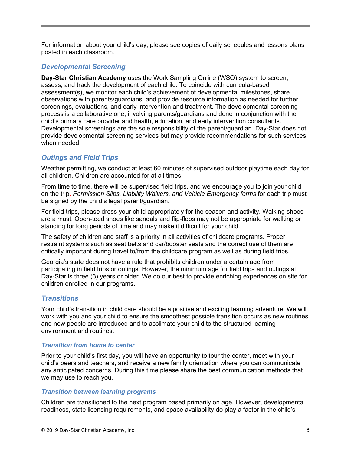For information about your child's day, please see copies of daily schedules and lessons plans posted in each classroom.

#### *Developmental Screening*

**Day-Star Christian Academy** uses the Work Sampling Online (WSO) system to screen, assess, and track the development of each child. To coincide with curricula-based assessment(s), we monitor each child's achievement of developmental milestones, share observations with parents/guardians, and provide resource information as needed for further screenings, evaluations, and early intervention and treatment. The developmental screening process is a collaborative one, involving parents/guardians and done in conjunction with the child's primary care provider and health, education, and early intervention consultants. Developmental screenings are the sole responsibility of the parent/guardian. Day-Star does not provide developmental screening services but may provide recommendations for such services when needed.

## *Outings and Field Trips*

Weather permitting, we conduct at least 60 minutes of supervised outdoor playtime each day for all children. Children are accounted for at all times.

From time to time, there will be supervised field trips, and we encourage you to join your child on the trip. *Permission Slips, Liability Waivers, and Vehicle Emergency forms* for each trip must be signed by the child's legal parent/guardian.

For field trips, please dress your child appropriately for the season and activity. Walking shoes are a must. Open-toed shoes like sandals and flip-flops may not be appropriate for walking or standing for long periods of time and may make it difficult for your child.

The safety of children and staff is a priority in all activities of childcare programs. Proper restraint systems such as seat belts and car/booster seats and the correct use of them are critically important during travel to/from the childcare program as well as during field trips.

Georgia's state does not have a rule that prohibits children under a certain age from participating in field trips or outings. However, the minimum age for field trips and outings at Day-Star is three (3) years or older. We do our best to provide enriching experiences on site for children enrolled in our programs.

## *Transitions*

Your child's transition in child care should be a positive and exciting learning adventure. We will work with you and your child to ensure the smoothest possible transition occurs as new routines and new people are introduced and to acclimate your child to the structured learning environment and routines.

#### *Transition from home to center*

Prior to your child's first day, you will have an opportunity to tour the center, meet with your child's peers and teachers, and receive a new family orientation where you can communicate any anticipated concerns. During this time please share the best communication methods that we may use to reach you.

#### *Transition between learning programs*

Children are transitioned to the next program based primarily on age. However, developmental readiness, state licensing requirements, and space availability do play a factor in the child's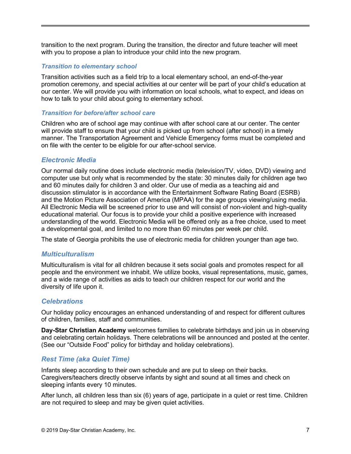transition to the next program. During the transition, the director and future teacher will meet with you to propose a plan to introduce your child into the new program.

#### *Transition to elementary school*

Transition activities such as a field trip to a local elementary school, an end-of-the-year promotion ceremony, and special activities at our center will be part of your child's education at our center. We will provide you with information on local schools, what to expect, and ideas on how to talk to your child about going to elementary school.

#### *Transition for before/after school care*

Children who are of school age may continue with after school care at our center. The center will provide staff to ensure that your child is picked up from school (after school) in a timely manner. The Transportation Agreement and Vehicle Emergency forms must be completed and on file with the center to be eligible for our after-school service.

#### *Electronic Media*

Our normal daily routine does include electronic media (television/TV, video, DVD) viewing and computer use but only what is recommended by the state: 30 minutes daily for children age two and 60 minutes daily for children 3 and older. Our use of media as a teaching aid and discussion stimulator is in accordance with the Entertainment Software Rating Board (ESRB) and the Motion Picture Association of America (MPAA) for the age groups viewing/using media. All Electronic Media will be screened prior to use and will consist of non-violent and high-quality educational material. Our focus is to provide your child a positive experience with increased understanding of the world. Electronic Media will be offered only as a free choice, used to meet a developmental goal, and limited to no more than 60 minutes per week per child.

The state of Georgia prohibits the use of electronic media for children younger than age two.

#### *Multiculturalism*

Multiculturalism is vital for all children because it sets social goals and promotes respect for all people and the environment we inhabit. We utilize books, visual representations, music, games, and a wide range of activities as aids to teach our children respect for our world and the diversity of life upon it.

#### *Celebrations*

Our holiday policy encourages an enhanced understanding of and respect for different cultures of children, families, staff and communities.

**Day-Star Christian Academy** welcomes families to celebrate birthdays and join us in observing and celebrating certain holidays. There celebrations will be announced and posted at the center. (See our "Outside Food" policy for birthday and holiday celebrations).

## *Rest Time (aka Quiet Time)*

Infants sleep according to their own schedule and are put to sleep on their backs. Caregivers/teachers directly observe infants by sight and sound at all times and check on sleeping infants every 10 minutes.

After lunch, all children less than six (6) years of age, participate in a quiet or rest time. Children are not required to sleep and may be given quiet activities.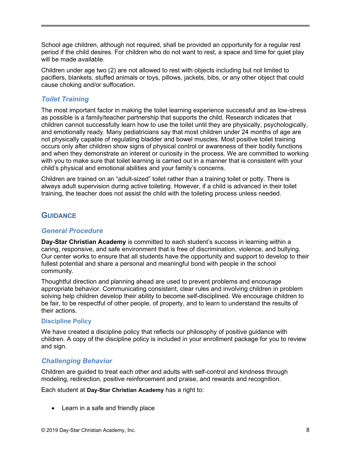School age children, although not required, shall be provided an opportunity for a regular rest period if the child desires. For children who do not want to rest, a space and time for quiet play will be made available.

Children under age two (2) are not allowed to rest with objects including but not limited to pacifiers, blankets, stuffed animals or toys, pillows, jackets, bibs, or any other object that could cause choking and/or suffocation.

## *Toilet Training*

The most important factor in making the toilet learning experience successful and as low-stress as possible is a family/teacher partnership that supports the child. Research indicates that children cannot successfully learn how to use the toilet until they are physically, psychologically, and emotionally ready. Many pediatricians say that most children under 24 months of age are not physically capable of regulating bladder and bowel muscles. Most positive toilet training occurs only after children show signs of physical control or awareness of their bodily functions and when they demonstrate an interest or curiosity in the process. We are committed to working with you to make sure that toilet learning is carried out in a manner that is consistent with your child's physical and emotional abilities and your family's concerns.

Children are trained on an "adult-sized" toilet rather than a training toilet or potty. There is always adult supervision during active toileting. However, if a child is advanced in their toilet training, the teacher does not assist the child with the toileting process unless needed.

## **GUIDANCE**

### *General Procedure*

**Day-Star Christian Academy** is committed to each student's success in learning within a caring, responsive, and safe environment that is free of discrimination, violence, and bullying. Our center works to ensure that all students have the opportunity and support to develop to their fullest potential and share a personal and meaningful bond with people in the school community.

Thoughtful direction and planning ahead are used to prevent problems and encourage appropriate behavior. Communicating consistent, clear rules and involving children in problem solving help children develop their ability to become self-disciplined. We encourage children to be fair, to be respectful of other people, of property, and to learn to understand the results of their actions.

#### **Discipline Policy**

We have created a discipline policy that reflects our philosophy of positive guidance with children. A copy of the discipline policy is included in your enrollment package for you to review and sign.

## *Challenging Behavior*

Children are guided to treat each other and adults with self-control and kindness through modeling, redirection, positive reinforcement and praise, and rewards and recognition.

Each student at **Day-Star Christian Academy** has a right to:

• Learn in a safe and friendly place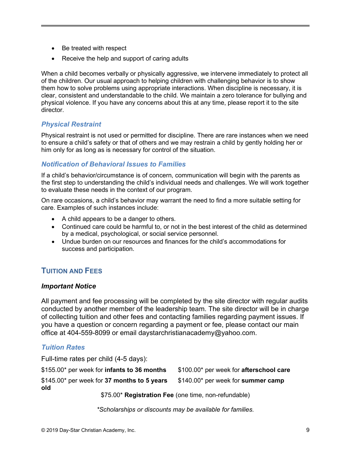- Be treated with respect
- Receive the help and support of caring adults

When a child becomes verbally or physically aggressive, we intervene immediately to protect all of the children. Our usual approach to helping children with challenging behavior is to show them how to solve problems using appropriate interactions. When discipline is necessary, it is clear, consistent and understandable to the child. We maintain a zero tolerance for bullying and physical violence. If you have any concerns about this at any time, please report it to the site director.

## *Physical Restraint*

Physical restraint is not used or permitted for discipline. There are rare instances when we need to ensure a child's safety or that of others and we may restrain a child by gently holding her or him only for as long as is necessary for control of the situation.

## *Notification of Behavioral Issues to Families*

If a child's behavior/circumstance is of concern, communication will begin with the parents as the first step to understanding the child's individual needs and challenges. We will work together to evaluate these needs in the context of our program.

On rare occasions, a child's behavior may warrant the need to find a more suitable setting for care. Examples of such instances include:

- A child appears to be a danger to others.
- Continued care could be harmful to, or not in the best interest of the child as determined by a medical, psychological, or social service personnel.
- Undue burden on our resources and finances for the child's accommodations for success and participation.

## **TUITION AND FEES**

## *Important Notice*

All payment and fee processing will be completed by the site director with regular audits conducted by another member of the leadership team. The site director will be in charge of collecting tuition and other fees and contacting families regarding payment issues. If you have a question or concern regarding a payment or fee, please contact our main office at 404-559-8099 or email daystarchristianacademy@yahoo.com.

## *Tuition Rates*

Full-time rates per child (4-5 days):

\$155.00\* per week for **infants to 36 months** \$145.00\* per week for **37 months to 5 years old** \$100.00\* per week for **afterschool care** \$140.00\* per week for **summer camp**

\$75.00\* **Registration Fee** (one time, non-refundable)

*\*Scholarships or discounts may be available for families.*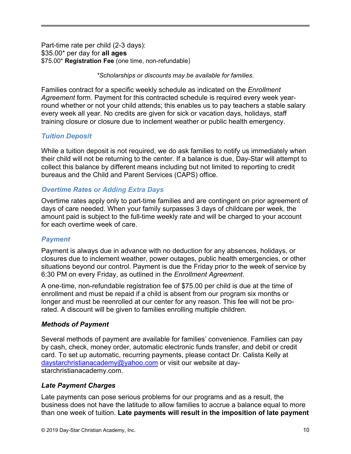Part-time rate per child (2-3 days): \$35.00\* per day for **all ages** \$75.00\* **Registration Fee** (one time, non-refundable)

*\*Scholarships or discounts may be available for families.* 

Families contract for a specific weekly schedule as indicated on the *Enrollment Agreement* form. Payment for this contracted schedule is required every week yearround whether or not your child attends; this enables us to pay teachers a stable salary every week all year. No credits are given for sick or vacation days, holidays, staff training closure or closure due to inclement weather or public health emergency.

## *Tuition Deposit*

While a tuition deposit is not required, we do ask families to notify us immediately when their child will not be returning to the center. If a balance is due, Day-Star will attempt to collect this balance by different means including but not limited to reporting to credit bureaus and the Child and Parent Services (CAPS) office.

## *Overtime Rates or Adding Extra Days*

Overtime rates apply only to part-time families and are contingent on prior agreement of days of care needed. When your family surpasses 3 days of childcare per week, the amount paid is subject to the full-time weekly rate and will be charged to your account for each overtime week of care.

## *Payment*

Payment is always due in advance with no deduction for any absences, holidays, or closures due to inclement weather, power outages, public health emergencies, or other situations beyond our control. Payment is due the Friday prior to the week of service by 6:30 PM on every Friday, as outlined in the *Enrollment Agreement*.

A one-time, non-refundable registration fee of \$75.00 per child is due at the time of enrollment and must be repaid if a child is absent from our program six months or longer and must be reenrolled at our center for any reason. This fee will not be prorated. A discount will be given to families enrolling multiple children.

## *Methods of Payment*

Several methods of payment are available for families' convenience. Families can pay by cash, check, money order, automatic electronic funds transfer, and debit or credit card. To set up automatic, recurring payments, please contact Dr. Calista Kelly at [daystarchristianacademy@yahoo.com](mailto:daystarchristianacademy@yahoo.com) or visit our website at daystarchristianacademy.com.

## *Late Payment Charges*

Late payments can pose serious problems for our programs and as a result, the business does not have the latitude to allow families to accrue a balance equal to more than one week of tuition. **Late payments will result in the imposition of late payment**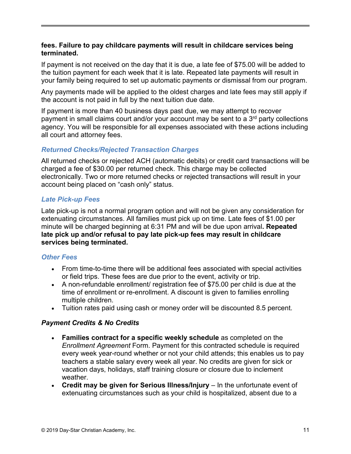## **fees. Failure to pay childcare payments will result in childcare services being terminated.**

If payment is not received on the day that it is due, a late fee of \$75.00 will be added to the tuition payment for each week that it is late. Repeated late payments will result in your family being required to set up automatic payments or dismissal from our program.

Any payments made will be applied to the oldest charges and late fees may still apply if the account is not paid in full by the next tuition due date.

If payment is more than 40 business days past due, we may attempt to recover payment in small claims court and/or your account may be sent to a  $3<sup>rd</sup>$  party collections agency. You will be responsible for all expenses associated with these actions including all court and attorney fees.

## *Returned Checks/Rejected Transaction Charges*

All returned checks or rejected ACH (automatic debits) or credit card transactions will be charged a fee of \$30.00 per returned check. This charge may be collected electronically. Two or more returned checks or rejected transactions will result in your account being placed on "cash only" status.

## *Late Pick-up Fees*

Late pick-up is not a normal program option and will not be given any consideration for extenuating circumstances. All families must pick up on time. Late fees of \$1.00 per minute will be charged beginning at 6:31 PM and will be due upon arrival**. Repeated late pick up and/or refusal to pay late pick-up fees may result in childcare services being terminated.**

## *Other Fees*

- From time-to-time there will be additional fees associated with special activities or field trips. These fees are due prior to the event, activity or trip.
- A non-refundable enrollment/ registration fee of \$75.00 per child is due at the time of enrollment or re-enrollment. A discount is given to families enrolling multiple children.
- Tuition rates paid using cash or money order will be discounted 8.5 percent.

## *Payment Credits & No Credits*

- **Families contract for a specific weekly schedule** as completed on the *Enrollment Agreement* Form. Payment for this contracted schedule is required every week year-round whether or not your child attends; this enables us to pay teachers a stable salary every week all year. No credits are given for sick or vacation days, holidays, staff training closure or closure due to inclement weather.
- **Credit may be given for Serious Illness/Injury** In the unfortunate event of extenuating circumstances such as your child is hospitalized, absent due to a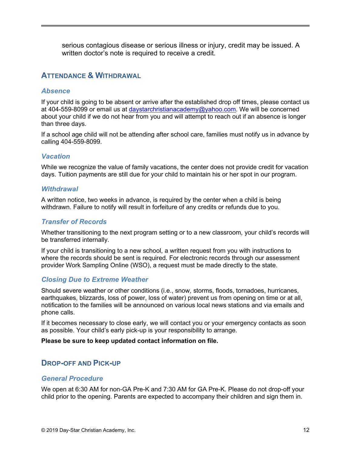serious contagious disease or serious illness or injury, credit may be issued. A written doctor's note is required to receive a credit.

## **ATTENDANCE & WITHDRAWAL**

#### *Absence*

If your child is going to be absent or arrive after the established drop off times, please contact us at 404-559-8099 or email us at [daystarchristianacademy@yahoo.com.](mailto:daystarchristianacademy@yahoo.com) We will be concerned about your child if we do not hear from you and will attempt to reach out if an absence is longer than three days.

If a school age child will not be attending after school care, families must notify us in advance by calling 404-559-8099.

#### *Vacation*

While we recognize the value of family vacations, the center does not provide credit for vacation days. Tuition payments are still due for your child to maintain his or her spot in our program.

#### *Withdrawal*

A written notice, two weeks in advance, is required by the center when a child is being withdrawn. Failure to notify will result in forfeiture of any credits or refunds due to you.

#### *Transfer of Records*

Whether transitioning to the next program setting or to a new classroom, your child's records will be transferred internally.

If your child is transitioning to a new school, a written request from you with instructions to where the records should be sent is required. For electronic records through our assessment provider Work Sampling Online (WSO), a request must be made directly to the state.

#### *Closing Due to Extreme Weather*

Should severe weather or other conditions (i.e., snow, storms, floods, tornadoes, hurricanes, earthquakes, blizzards, loss of power, loss of water) prevent us from opening on time or at all, notification to the families will be announced on various local news stations and via emails and phone calls.

If it becomes necessary to close early, we will contact you or your emergency contacts as soon as possible. Your child's early pick-up is your responsibility to arrange.

#### **Please be sure to keep updated contact information on file.**

## **DROP-OFF AND PICK-UP**

#### *General Procedure*

We open at 6:30 AM for non-GA Pre-K and 7:30 AM for GA Pre-K. Please do not drop-off your child prior to the opening. Parents are expected to accompany their children and sign them in.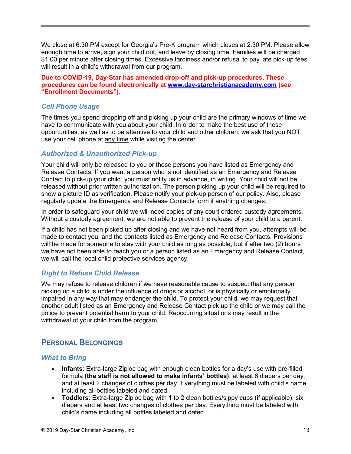We close at 6:30 PM except for Georgia's Pre-K program which closes at 2:30 PM. Please allow enough time to arrive, sign your child out, and leave by closing time. Families will be charged \$1.00 per minute after closing times. Excessive tardiness and/or refusal to pay late pick-up fees will result in a child's withdrawal from our program.

**Due to COVID-19, Day-Star has amended drop-off and pick-up procedures. These procedures can be found electronically at [www.day-starchristianacademy.com](http://www.day-starchristianacademy.com/) (see "Enrollment Documents").** 

## *Cell Phone Usage*

The times you spend dropping off and picking up your child are the primary windows of time we have to communicate with you about your child. In order to make the best use of these opportunities, as well as to be attentive to your child and other children, we ask that you NOT use your cell phone at any time while visiting the center.

## *Authorized & Unauthorized Pick-up*

Your child will only be released to you or those persons you have listed as Emergency and Release Contacts. If you want a person who is not identified as an Emergency and Release Contact to pick-up your child, you must notify us in advance, in writing. Your child will not be released without prior written authorization. The person picking up your child will be required to show a picture ID as verification. Please notify your pick-up person of our policy. Also, please regularly update the Emergency and Release Contacts form if anything changes.

In order to safeguard your child we will need copies of any court ordered custody agreements. Without a custody agreement, we are not able to prevent the release of your child to a parent.

If a child has not been picked up after closing and we have not heard from you, attempts will be made to contact you, and the contacts listed as Emergency and Release Contacts. Provisions will be made for someone to stay with your child as long as possible, but if after two (2) hours we have not been able to reach you or a person listed as an Emergency and Release Contact, we will call the local child protective services agency.

## *Right to Refuse Child Release*

We may refuse to release children if we have reasonable cause to suspect that any person picking up a child is under the influence of drugs or alcohol, or is physically or emotionally impaired in any way that may endanger the child. To protect your child, we may request that another adult listed as an Emergency and Release Contact pick up the child or we may call the police to prevent potential harm to your child. Reoccurring situations may result in the withdrawal of your child from the program.

## **PERSONAL BELONGINGS**

## *What to Bring*

- **Infants**: Extra-large Ziploc bag with enough clean bottles for a day's use with pre-filled formula **(the staff is not allowed to make infants' bottles)**, at least 6 diapers per day, and at least 2 changes of clothes per day. Everything must be labeled with child's name including all bottles labeled and dated.
- **Toddlers**: Extra-large Ziploc bag with 1 to 2 clean bottles/sippy cups (if applicable), six diapers and at least two changes of clothes per day. Everything must be labeled with child's name including all bottles labeled and dated.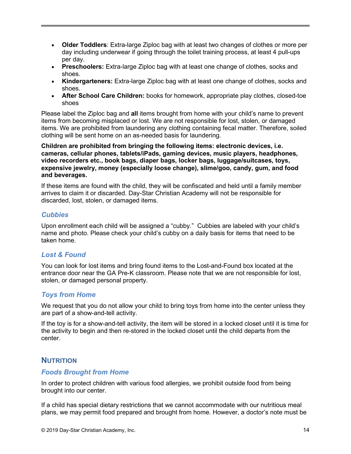- **Older Toddlers**: Extra-large Ziploc bag with at least two changes of clothes or more per day including underwear if going through the toilet training process, at least 4 pull-ups per day.
- **Preschoolers:** Extra-large Ziploc bag with at least one change of clothes, socks and shoes.
- **Kindergarteners:** Extra-large Ziploc bag with at least one change of clothes, socks and shoes.
- **After School Care Children:** books for homework, appropriate play clothes, closed-toe shoes

Please label the Ziploc bag and **all** items brought from home with your child's name to prevent items from becoming misplaced or lost. We are not responsible for lost, stolen, or damaged items. We are prohibited from laundering any clothing containing fecal matter. Therefore, soiled clothing will be sent home on an as-needed basis for laundering.

#### **Children are prohibited from bringing the following items: electronic devices, i.e. cameras, cellular phones, tablets/iPads, gaming devices, music players, headphones, video recorders etc., book bags, diaper bags, locker bags, luggage/suitcases, toys, expensive jewelry, money (especially loose change), slime/goo, candy, gum, and food and beverages.**

If these items are found with the child, they will be confiscated and held until a family member arrives to claim it or discarded. Day-Star Christian Academy will not be responsible for discarded, lost, stolen, or damaged items.

#### *Cubbies*

Upon enrollment each child will be assigned a "cubby." Cubbies are labeled with your child's name and photo. Please check your child's cubby on a daily basis for items that need to be taken home.

## *Lost & Found*

You can look for lost items and bring found items to the Lost-and-Found box located at the entrance door near the GA Pre-K classroom. Please note that we are not responsible for lost, stolen, or damaged personal property.

## *Toys from Home*

We request that you do not allow your child to bring toys from home into the center unless they are part of a show-and-tell activity.

If the toy is for a show-and-tell activity, the item will be stored in a locked closet until it is time for the activity to begin and then re-stored in the locked closet until the child departs from the center.

## **NUTRITION**

## *Foods Brought from Home*

In order to protect children with various food allergies, we prohibit outside food from being brought into our center.

If a child has special dietary restrictions that we cannot accommodate with our nutritious meal plans, we may permit food prepared and brought from home. However, a doctor's note must be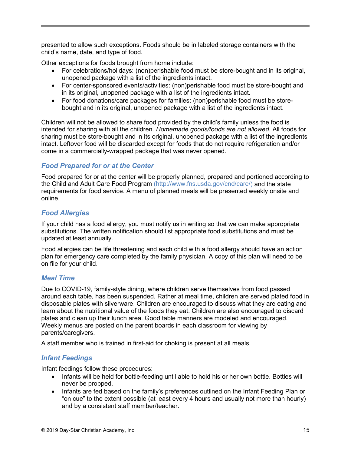presented to allow such exceptions. Foods should be in labeled storage containers with the child's name, date, and type of food.

Other exceptions for foods brought from home include:

- For celebrations/holidays: (non)perishable food must be store-bought and in its original, unopened package with a list of the ingredients intact.
- For center-sponsored events/activities: (non)perishable food must be store-bought and in its original, unopened package with a list of the ingredients intact.
- For food donations/care packages for families: (non)perishable food must be storebought and in its original, unopened package with a list of the ingredients intact.

Children will not be allowed to share food provided by the child's family unless the food is intended for sharing with all the children. *Homemade goods/foods are not allowed.* All foods for sharing must be store-bought and in its original, unopened package with a list of the ingredients intact. Leftover food will be discarded except for foods that do not require refrigeration and/or come in a commercially-wrapped package that was never opened.

## *Food Prepared for or at the Center*

Food prepared for or at the center will be properly planned, prepared and portioned according to the Child and Adult Care Food Program [\(http://www.fns.usda.gov/cnd/care/\)](http://www.fns.usda.gov/cnd/care/) and the state requirements for food service. A menu of planned meals will be presented weekly onsite and online.

## *Food Allergies*

If your child has a food allergy, you must notify us in writing so that we can make appropriate substitutions. The written notification should list appropriate food substitutions and must be updated at least annually.

Food allergies can be life threatening and each child with a food allergy should have an action plan for emergency care completed by the family physician. A copy of this plan will need to be on file for your child.

## *Meal Time*

Due to COVID-19, family-style dining, where children serve themselves from food passed around each table, has been suspended. Rather at meal time, children are served plated food in disposable plates with silverware. Children are encouraged to discuss what they are eating and learn about the nutritional value of the foods they eat. Children are also encouraged to discard plates and clean up their lunch area. Good table manners are modeled and encouraged. Weekly menus are posted on the parent boards in each classroom for viewing by parents/caregivers.

A staff member who is trained in first-aid for choking is present at all meals.

## *Infant Feedings*

Infant feedings follow these procedures:

- Infants will be held for bottle-feeding until able to hold his or her own bottle. Bottles will never be propped.
- Infants are fed based on the family's preferences outlined on the Infant Feeding Plan or "on cue" to the extent possible (at least every 4 hours and usually not more than hourly) and by a consistent staff member/teacher.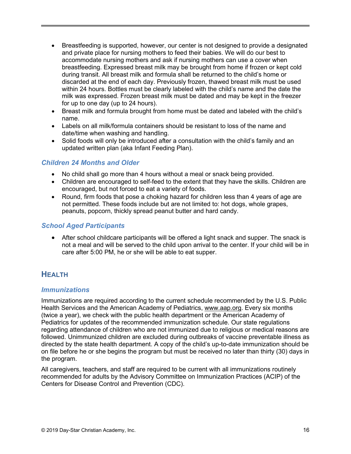- Breastfeeding is supported, however, our center is not designed to provide a designated and private place for nursing mothers to feed their babies. We will do our best to accommodate nursing mothers and ask if nursing mothers can use a cover when breastfeeding. Expressed breast milk may be brought from home if frozen or kept cold during transit. All breast milk and formula shall be returned to the child's home or discarded at the end of each day. Previously frozen, thawed breast milk must be used within 24 hours. Bottles must be clearly labeled with the child's name and the date the milk was expressed. Frozen breast milk must be dated and may be kept in the freezer for up to one day (up to 24 hours).
- Breast milk and formula brought from home must be dated and labeled with the child's name.
- Labels on all milk/formula containers should be resistant to loss of the name and date/time when washing and handling.
- Solid foods will only be introduced after a consultation with the child's family and an updated written plan (aka Infant Feeding Plan).

## *Children 24 Months and Older*

- No child shall go more than 4 hours without a meal or snack being provided.
- Children are encouraged to self-feed to the extent that they have the skills. Children are encouraged, but not forced to eat a variety of foods.
- Round, firm foods that pose a choking hazard for children less than 4 years of age are not permitted. These foods include but are not limited to: hot dogs, whole grapes, peanuts, popcorn, thickly spread peanut butter and hard candy.

## *School Aged Participants*

• After school childcare participants will be offered a light snack and supper. The snack is not a meal and will be served to the child upon arrival to the center. If your child will be in care after 5:00 PM, he or she will be able to eat supper.

## **HEALTH**

#### *Immunizations*

Immunizations are required according to the current schedule recommended by the U.S. Public Health Services and the American Academy of Pediatrics, [www.aap.org.](http://www.aap.org/) Every six months (twice a year), we check with the public health department or the American Academy of Pediatrics for updates of the recommended immunization schedule. Our state regulations regarding attendance of children who are not immunized due to religious or medical reasons are followed. Unimmunized children are excluded during outbreaks of vaccine preventable illness as directed by the state health department. A copy of the child's up-to-date immunization should be on file before he or she begins the program but must be received no later than thirty (30) days in the program.

All caregivers, teachers, and staff are required to be current with all immunizations routinely recommended for adults by the Advisory Committee on Immunization Practices (ACIP) of the Centers for Disease Control and Prevention (CDC).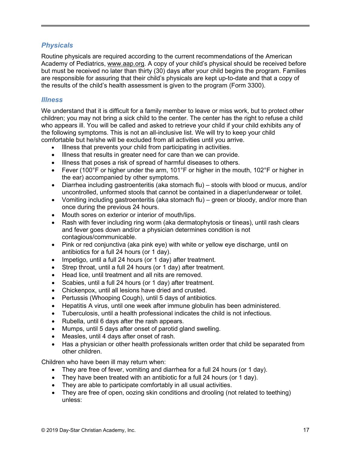## *Physicals*

Routine physicals are required according to the current recommendations of the American Academy of Pediatrics, [www.aap.org.](http://www.aap.org/) A copy of your child's physical should be received before but must be received no later than thirty (30) days after your child begins the program. Families are responsible for assuring that their child's physicals are kept up-to-date and that a copy of the results of the child's health assessment is given to the program (Form 3300).

### *Illness*

We understand that it is difficult for a family member to leave or miss work, but to protect other children; you may not bring a sick child to the center. The center has the right to refuse a child who appears ill. You will be called and asked to retrieve your child if your child exhibits any of the following symptoms. This is not an all-inclusive list. We will try to keep your child comfortable but he/she will be excluded from all activities until you arrive.

- Illness that prevents your child from participating in activities.
- Illness that results in greater need for care than we can provide.
- Illness that poses a risk of spread of harmful diseases to others.
- Fever (100°F or higher under the arm, 101°F or higher in the mouth, 102°F or higher in the ear) accompanied by other symptoms.
- Diarrhea including gastroenteritis (aka stomach flu) stools with blood or mucus, and/or uncontrolled, unformed stools that cannot be contained in a diaper/underwear or toilet.
- Vomiting including gastroenteritis (aka stomach flu) green or bloody, and/or more than once during the previous 24 hours.
- Mouth sores on exterior or interior of mouth/lips.
- Rash with fever including ring worm (aka dermatophytosis or tineas), until rash clears and fever goes down and/or a physician determines condition is not contagious/communicable.
- Pink or red conjunctiva (aka pink eye) with white or yellow eye discharge, until on antibiotics for a full 24 hours (or 1 day).
- Impetigo, until a full 24 hours (or 1 day) after treatment.
- Strep throat, until a full 24 hours (or 1 day) after treatment.
- Head lice, until treatment and all nits are removed.
- Scabies, until a full 24 hours (or 1 day) after treatment.
- Chickenpox, until all lesions have dried and crusted.
- Pertussis (Whooping Cough), until 5 days of antibiotics.
- Hepatitis A virus, until one week after immune globulin has been administered.
- Tuberculosis, until a health professional indicates the child is not infectious.
- Rubella, until 6 days after the rash appears.
- Mumps, until 5 days after onset of parotid gland swelling.
- Measles, until 4 days after onset of rash.
- Has a physician or other health professionals written order that child be separated from other children.

Children who have been ill may return when:

- They are free of fever, vomiting and diarrhea for a full 24 hours (or 1 day).
- They have been treated with an antibiotic for a full 24 hours (or 1 day).
- They are able to participate comfortably in all usual activities.
- They are free of open, oozing skin conditions and drooling (not related to teething) unless: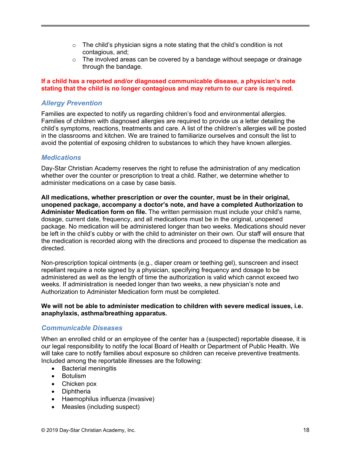- $\circ$  The child's physician signs a note stating that the child's condition is not contagious, and;
- o The involved areas can be covered by a bandage without seepage or drainage through the bandage.

#### **If a child has a reported and/or diagnosed communicable disease, a physician's note stating that the child is no longer contagious and may return to our care is required.**

## *Allergy Prevention*

Families are expected to notify us regarding children's food and environmental allergies. Families of children with diagnosed allergies are required to provide us a letter detailing the child's symptoms, reactions, treatments and care. A list of the children's allergies will be posted in the classrooms and kitchen. We are trained to familiarize ourselves and consult the list to avoid the potential of exposing children to substances to which they have known allergies.

#### *Medications*

Day-Star Christian Academy reserves the right to refuse the administration of any medication whether over the counter or prescription to treat a child. Rather, we determine whether to administer medications on a case by case basis.

**All medications, whether prescription or over the counter, must be in their original, unopened package, accompany a doctor's note, and have a completed Authorization to Administer Medication form on file.** The written permission must include your child's name, dosage, current date, frequency, and all medications must be in the original, unopened package. No medication will be administered longer than two weeks. Medications should never be left in the child's cubby or with the child to administer on their own. Our staff will ensure that the medication is recorded along with the directions and proceed to dispense the medication as directed.

Non-prescription topical ointments (e.g., diaper cream or teething gel), sunscreen and insect repellant require a note signed by a physician, specifying frequency and dosage to be administered as well as the length of time the authorization is valid which cannot exceed two weeks. If administration is needed longer than two weeks, a new physician's note and Authorization to Administer Medication form must be completed.

#### **We will not be able to administer medication to children with severe medical issues, i.e. anaphylaxis, asthma/breathing apparatus.**

## *Communicable Diseases*

When an enrolled child or an employee of the center has a (suspected) reportable disease, it is our legal responsibility to notify the local Board of Health or Department of Public Health. We will take care to notify families about exposure so children can receive preventive treatments. Included among the reportable illnesses are the following:

- Bacterial meningitis
- Botulism
- Chicken pox
- Diphtheria
- Haemophilus influenza (invasive)
- Measles (including suspect)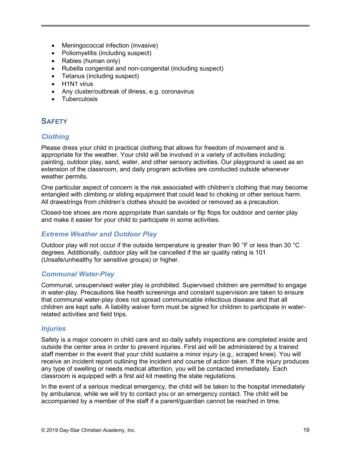- Meningococcal infection (invasive)
- Poliomyelitis (including suspect)
- Rabies (human only)
- Rubella congenital and non-congenital (including suspect)
- Tetanus (including suspect)
- H1N1 virus
- Any cluster/outbreak of illness, e.g. coronavirus
- Tuberculosis

## **SAFETY**

## *Clothing*

Please dress your child in practical clothing that allows for freedom of movement and is appropriate for the weather. Your child will be involved in a variety of activities including: painting, outdoor play, sand, water, and other sensory activities. Our playground is used as an extension of the classroom, and daily program activities are conducted outside whenever weather permits.

One particular aspect of concern is the risk associated with children's clothing that may become entangled with climbing or sliding equipment that could lead to choking or other serious harm. All drawstrings from children's clothes should be avoided or removed as a precaution.

Closed-toe shoes are more appropriate than sandals or flip flops for outdoor and center play and make it easier for your child to participate in some activities.

## *Extreme Weather and Outdoor Play*

Outdoor play will not occur if the outside temperature is greater than 90 °F or less than 30 °C degrees. Additionally, outdoor play will be cancelled if the air quality rating is 101 (Unsafe/unhealthy for sensitive groups) or higher.

## *Communal Water-Play*

Communal, unsupervised water play is prohibited. Supervised children are permitted to engage in water-play. Precautions like health screenings and constant supervision are taken to ensure that communal water-play does not spread communicable infectious disease and that all children are kept safe. A liability waiver form must be signed for children to participate in waterrelated activities and field trips.

## *Injuries*

Safety is a major concern in child care and so daily safety inspections are completed inside and outside the center area in order to prevent injuries. First aid will be administered by a trained staff member in the event that your child sustains a minor injury (e.g., scraped knee). You will receive an incident report outlining the incident and course of action taken. If the injury produces any type of swelling or needs medical attention, you will be contacted immediately. Each classroom is equipped with a first aid kit meeting the state regulations.

In the event of a serious medical emergency, the child will be taken to the hospital immediately by ambulance, while we will try to contact you or an emergency contact. The child will be accompanied by a member of the staff if a parent/guardian cannot be reached in time.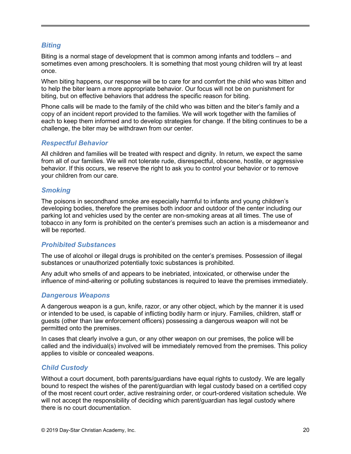## *Biting*

Biting is a normal stage of development that is common among infants and toddlers – and sometimes even among preschoolers. It is something that most young children will try at least once.

When biting happens, our response will be to care for and comfort the child who was bitten and to help the biter learn a more appropriate behavior. Our focus will not be on punishment for biting, but on effective behaviors that address the specific reason for biting.

Phone calls will be made to the family of the child who was bitten and the biter's family and a copy of an incident report provided to the families. We will work together with the families of each to keep them informed and to develop strategies for change. If the biting continues to be a challenge, the biter may be withdrawn from our center.

#### *Respectful Behavior*

All children and families will be treated with respect and dignity. In return, we expect the same from all of our families. We will not tolerate rude, disrespectful, obscene, hostile, or aggressive behavior. If this occurs, we reserve the right to ask you to control your behavior or to remove your children from our care.

## *Smoking*

The poisons in secondhand smoke are especially harmful to infants and young children's developing bodies, therefore the premises both indoor and outdoor of the center including our parking lot and vehicles used by the center are non-smoking areas at all times. The use of tobacco in any form is prohibited on the center's premises such an action is a misdemeanor and will be reported.

## *Prohibited Substances*

The use of alcohol or illegal drugs is prohibited on the center's premises. Possession of illegal substances or unauthorized potentially toxic substances is prohibited.

Any adult who smells of and appears to be inebriated, intoxicated, or otherwise under the influence of mind-altering or polluting substances is required to leave the premises immediately.

## *Dangerous Weapons*

A dangerous weapon is a gun, knife, razor, or any other object, which by the manner it is used or intended to be used, is capable of inflicting bodily harm or injury. Families, children, staff or guests (other than law enforcement officers) possessing a dangerous weapon will not be permitted onto the premises.

In cases that clearly involve a gun, or any other weapon on our premises, the police will be called and the individual(s) involved will be immediately removed from the premises. This policy applies to visible or concealed weapons.

## *Child Custody*

Without a court document, both parents/guardians have equal rights to custody. We are legally bound to respect the wishes of the parent/guardian with legal custody based on a certified copy of the most recent court order, active restraining order, or court-ordered visitation schedule. We will not accept the responsibility of deciding which parent/guardian has legal custody where there is no court documentation.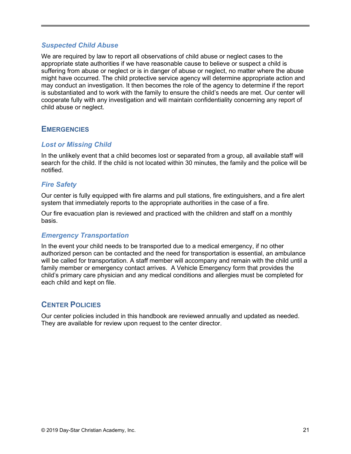#### *Suspected Child Abuse*

We are required by law to report all observations of child abuse or neglect cases to the appropriate state authorities if we have reasonable cause to believe or suspect a child is suffering from abuse or neglect or is in danger of abuse or neglect, no matter where the abuse might have occurred. The child protective service agency will determine appropriate action and may conduct an investigation. It then becomes the role of the agency to determine if the report is substantiated and to work with the family to ensure the child's needs are met. Our center will cooperate fully with any investigation and will maintain confidentiality concerning any report of child abuse or neglect.

## **EMERGENCIES**

## *Lost or Missing Child*

In the unlikely event that a child becomes lost or separated from a group, all available staff will search for the child. If the child is not located within 30 minutes, the family and the police will be notified.

## *Fire Safety*

Our center is fully equipped with fire alarms and pull stations, fire extinguishers, and a fire alert system that immediately reports to the appropriate authorities in the case of a fire.

Our fire evacuation plan is reviewed and practiced with the children and staff on a monthly basis.

## *Emergency Transportation*

In the event your child needs to be transported due to a medical emergency, if no other authorized person can be contacted and the need for transportation is essential, an ambulance will be called for transportation. A staff member will accompany and remain with the child until a family member or emergency contact arrives. A Vehicle Emergency form that provides the child's primary care physician and any medical conditions and allergies must be completed for each child and kept on file.

## **CENTER POLICIES**

Our center policies included in this handbook are reviewed annually and updated as needed. They are available for review upon request to the center director.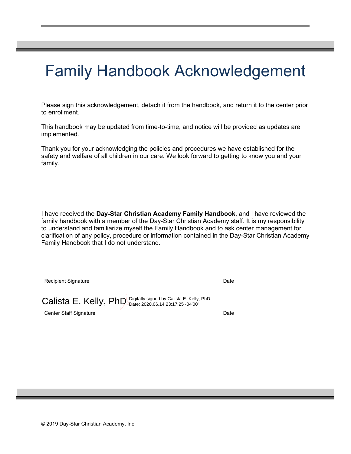# Family Handbook Acknowledgement

Please sign this acknowledgement, detach it from the handbook, and return it to the center prior to enrollment.

This handbook may be updated from time-to-time, and notice will be provided as updates are implemented.

Thank you for your acknowledging the policies and procedures we have established for the safety and welfare of all children in our care. We look forward to getting to know you and your family.

I have received the **Day-Star Christian Academy Family Handbook**, and I have reviewed the family handbook with a member of the Day-Star Christian Academy staff. It is my responsibility to understand and familiarize myself the Family Handbook and to ask center management for clarification of any policy, procedure or information contained in the Day-Star Christian Academy Family Handbook that I do not understand.

| <b>Recipient Signature</b>                                      | Date |
|-----------------------------------------------------------------|------|
| Calista E. Kelly, PhD Digitally signed by Calista E. Kelly, PhD |      |
| <b>Center Staff Signature</b>                                   | Date |